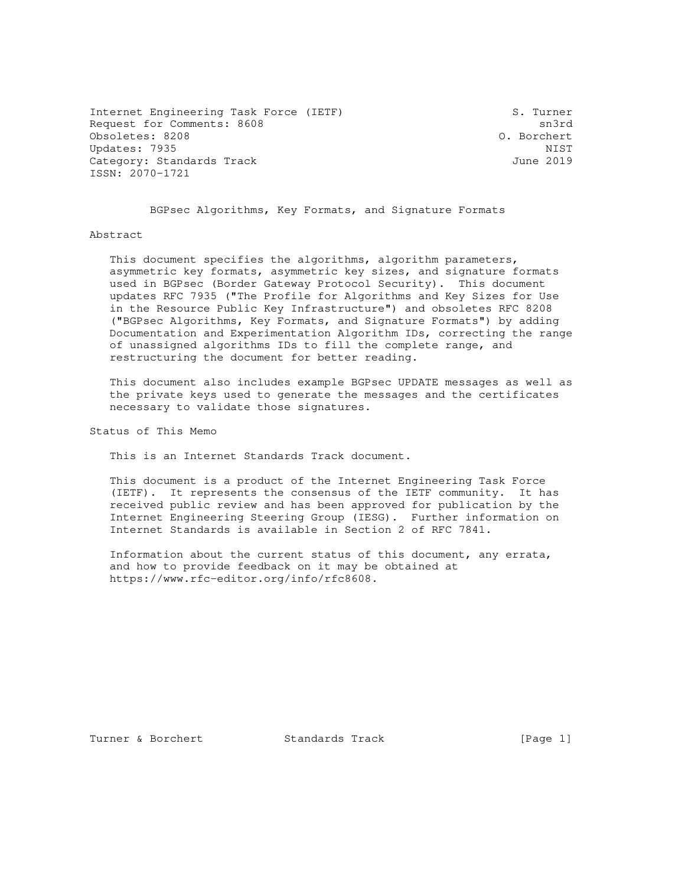Internet Engineering Task Force (IETF) S. Turner Request for Comments: 8608 sn3rd Obsoletes: 8208 O. Borchert Updates: 7935 NIST<br>Category: Standards Track Category: Standards Track Category: Standards Track ISSN: 2070-1721

BGPsec Algorithms, Key Formats, and Signature Formats

## Abstract

 This document specifies the algorithms, algorithm parameters, asymmetric key formats, asymmetric key sizes, and signature formats used in BGPsec (Border Gateway Protocol Security). This document updates RFC 7935 ("The Profile for Algorithms and Key Sizes for Use in the Resource Public Key Infrastructure") and obsoletes RFC 8208 ("BGPsec Algorithms, Key Formats, and Signature Formats") by adding Documentation and Experimentation Algorithm IDs, correcting the range of unassigned algorithms IDs to fill the complete range, and restructuring the document for better reading.

 This document also includes example BGPsec UPDATE messages as well as the private keys used to generate the messages and the certificates necessary to validate those signatures.

Status of This Memo

This is an Internet Standards Track document.

 This document is a product of the Internet Engineering Task Force (IETF). It represents the consensus of the IETF community. It has received public review and has been approved for publication by the Internet Engineering Steering Group (IESG). Further information on Internet Standards is available in Section 2 of RFC 7841.

 Information about the current status of this document, any errata, and how to provide feedback on it may be obtained at https://www.rfc-editor.org/info/rfc8608.

Turner & Borchert **Standards Track** [Page 1]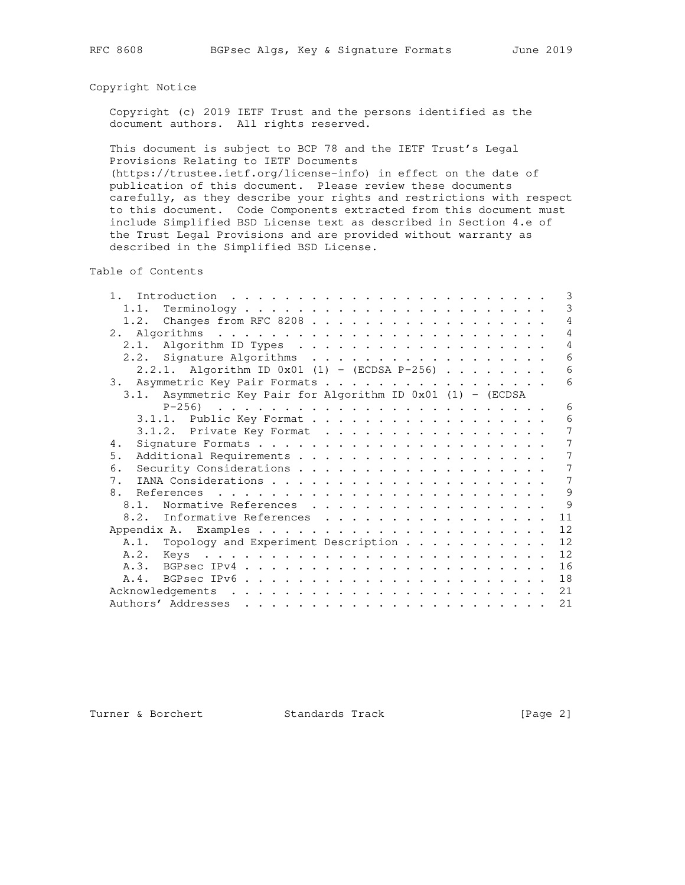## Copyright Notice

 Copyright (c) 2019 IETF Trust and the persons identified as the document authors. All rights reserved.

 This document is subject to BCP 78 and the IETF Trust's Legal Provisions Relating to IETF Documents

 (https://trustee.ietf.org/license-info) in effect on the date of publication of this document. Please review these documents carefully, as they describe your rights and restrictions with respect to this document. Code Components extracted from this document must include Simplified BSD License text as described in Section 4.e of the Trust Legal Provisions and are provided without warranty as described in the Simplified BSD License.

Table of Contents

| 1.<br>Introduction $\ldots \ldots \ldots \ldots \ldots \ldots \ldots \ldots$ |  |  |  | 3              |
|------------------------------------------------------------------------------|--|--|--|----------------|
| 1.1.                                                                         |  |  |  | 3              |
| 1.2. Changes from RFC 8208                                                   |  |  |  | 4              |
|                                                                              |  |  |  | $\overline{4}$ |
|                                                                              |  |  |  | 4              |
| 2.2. Signature Algorithms                                                    |  |  |  | 6              |
| 2.2.1. Algorithm ID $0x01$ (1) - (ECDSA P-256)                               |  |  |  | 6              |
| 3. Asymmetric Key Pair Formats                                               |  |  |  | 6              |
| 3.1. Asymmetric Key Pair for Algorithm ID 0x01 (1) - (ECDSA                  |  |  |  |                |
|                                                                              |  |  |  | 6              |
| 3.1.1. Public Key Format                                                     |  |  |  | 6              |
| 3.1.2. Private Key Format                                                    |  |  |  | 7              |
| 4.                                                                           |  |  |  | 7              |
| 5.                                                                           |  |  |  | 7              |
| 6.                                                                           |  |  |  | 7              |
| $7_{\odot}$                                                                  |  |  |  | 7              |
| 8.                                                                           |  |  |  | 9              |
| Normative References<br>8.1.                                                 |  |  |  | 9              |
| 8.2. Informative References                                                  |  |  |  | 11             |
|                                                                              |  |  |  | 12             |
| A.1. Topology and Experiment Description                                     |  |  |  | 12             |
|                                                                              |  |  |  | 12             |
|                                                                              |  |  |  | 16             |
|                                                                              |  |  |  | 18             |
|                                                                              |  |  |  | 21             |
|                                                                              |  |  |  | 21             |

Turner & Borchert Standards Track [Page 2]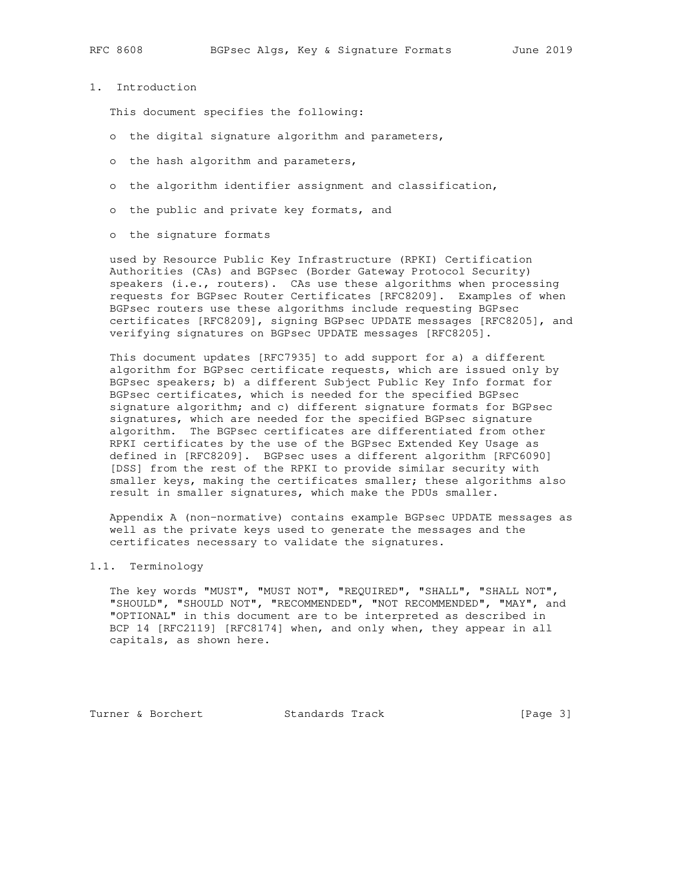1. Introduction

This document specifies the following:

- o the digital signature algorithm and parameters,
- o the hash algorithm and parameters,
- o the algorithm identifier assignment and classification,
- o the public and private key formats, and
- o the signature formats

 used by Resource Public Key Infrastructure (RPKI) Certification Authorities (CAs) and BGPsec (Border Gateway Protocol Security) speakers (i.e., routers). CAs use these algorithms when processing requests for BGPsec Router Certificates [RFC8209]. Examples of when BGPsec routers use these algorithms include requesting BGPsec certificates [RFC8209], signing BGPsec UPDATE messages [RFC8205], and verifying signatures on BGPsec UPDATE messages [RFC8205].

 This document updates [RFC7935] to add support for a) a different algorithm for BGPsec certificate requests, which are issued only by BGPsec speakers; b) a different Subject Public Key Info format for BGPsec certificates, which is needed for the specified BGPsec signature algorithm; and c) different signature formats for BGPsec signatures, which are needed for the specified BGPsec signature algorithm. The BGPsec certificates are differentiated from other RPKI certificates by the use of the BGPsec Extended Key Usage as defined in [RFC8209]. BGPsec uses a different algorithm [RFC6090] [DSS] from the rest of the RPKI to provide similar security with smaller keys, making the certificates smaller; these algorithms also result in smaller signatures, which make the PDUs smaller.

 Appendix A (non-normative) contains example BGPsec UPDATE messages as well as the private keys used to generate the messages and the certificates necessary to validate the signatures.

## 1.1. Terminology

 The key words "MUST", "MUST NOT", "REQUIRED", "SHALL", "SHALL NOT", "SHOULD", "SHOULD NOT", "RECOMMENDED", "NOT RECOMMENDED", "MAY", and "OPTIONAL" in this document are to be interpreted as described in BCP 14 [RFC2119] [RFC8174] when, and only when, they appear in all capitals, as shown here.

Turner & Borchert **Standards Track** [Page 3]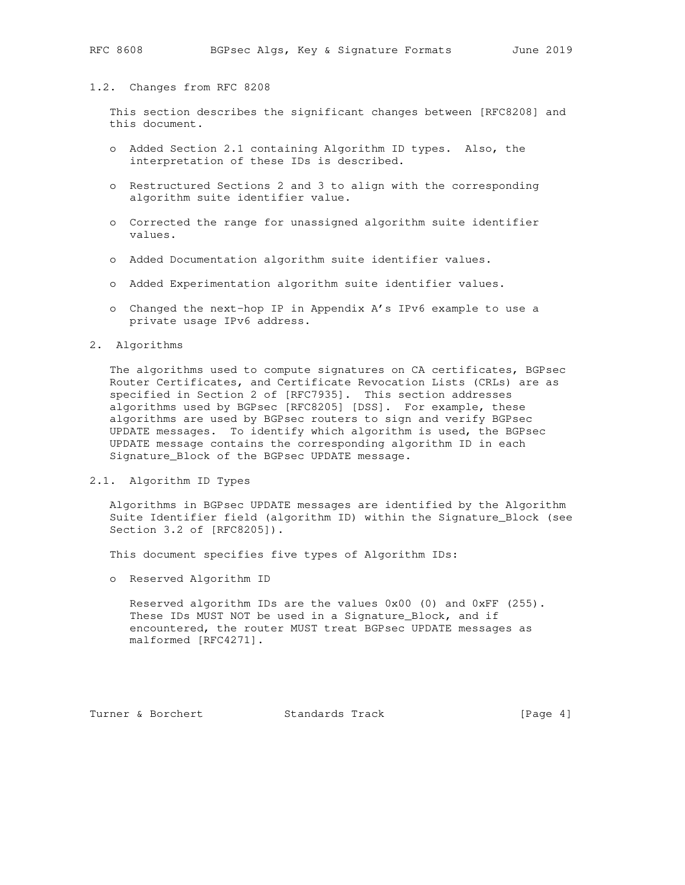## 1.2. Changes from RFC 8208

 This section describes the significant changes between [RFC8208] and this document.

- o Added Section 2.1 containing Algorithm ID types. Also, the interpretation of these IDs is described.
- o Restructured Sections 2 and 3 to align with the corresponding algorithm suite identifier value.
- o Corrected the range for unassigned algorithm suite identifier values.
- o Added Documentation algorithm suite identifier values.
- o Added Experimentation algorithm suite identifier values.
- o Changed the next-hop IP in Appendix A's IPv6 example to use a private usage IPv6 address.

2. Algorithms

 The algorithms used to compute signatures on CA certificates, BGPsec Router Certificates, and Certificate Revocation Lists (CRLs) are as specified in Section 2 of [RFC7935]. This section addresses algorithms used by BGPsec [RFC8205] [DSS]. For example, these algorithms are used by BGPsec routers to sign and verify BGPsec UPDATE messages. To identify which algorithm is used, the BGPsec UPDATE message contains the corresponding algorithm ID in each Signature\_Block of the BGPsec UPDATE message.

2.1. Algorithm ID Types

 Algorithms in BGPsec UPDATE messages are identified by the Algorithm Suite Identifier field (algorithm ID) within the Signature\_Block (see Section 3.2 of [RFC8205]).

This document specifies five types of Algorithm IDs:

o Reserved Algorithm ID

Reserved algorithm IDs are the values  $0x00$  (0) and  $0xFF$  (255). These IDs MUST NOT be used in a Signature\_Block, and if encountered, the router MUST treat BGPsec UPDATE messages as malformed [RFC4271].

Turner & Borchert **Standards Track** [Page 4]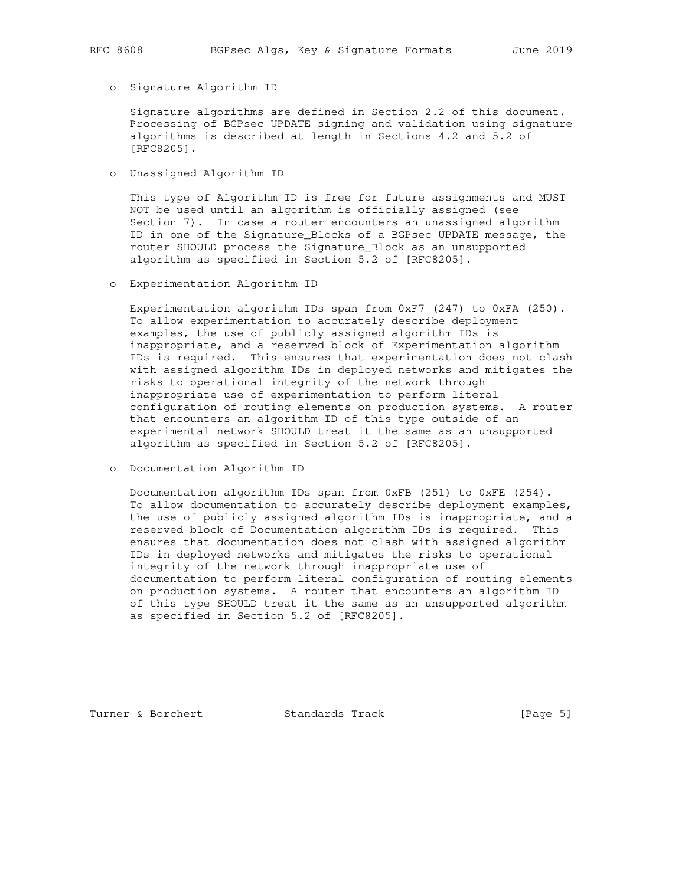o Signature Algorithm ID

 Signature algorithms are defined in Section 2.2 of this document. Processing of BGPsec UPDATE signing and validation using signature algorithms is described at length in Sections 4.2 and 5.2 of [RFC8205].

o Unassigned Algorithm ID

 This type of Algorithm ID is free for future assignments and MUST NOT be used until an algorithm is officially assigned (see Section 7). In case a router encounters an unassigned algorithm ID in one of the Signature\_Blocks of a BGPsec UPDATE message, the router SHOULD process the Signature\_Block as an unsupported algorithm as specified in Section 5.2 of [RFC8205].

o Experimentation Algorithm ID

 Experimentation algorithm IDs span from 0xF7 (247) to 0xFA (250). To allow experimentation to accurately describe deployment examples, the use of publicly assigned algorithm IDs is inappropriate, and a reserved block of Experimentation algorithm IDs is required. This ensures that experimentation does not clash with assigned algorithm IDs in deployed networks and mitigates the risks to operational integrity of the network through inappropriate use of experimentation to perform literal configuration of routing elements on production systems. A router that encounters an algorithm ID of this type outside of an experimental network SHOULD treat it the same as an unsupported algorithm as specified in Section 5.2 of [RFC8205].

o Documentation Algorithm ID

 Documentation algorithm IDs span from 0xFB (251) to 0xFE (254). To allow documentation to accurately describe deployment examples, the use of publicly assigned algorithm IDs is inappropriate, and a reserved block of Documentation algorithm IDs is required. This ensures that documentation does not clash with assigned algorithm IDs in deployed networks and mitigates the risks to operational integrity of the network through inappropriate use of documentation to perform literal configuration of routing elements on production systems. A router that encounters an algorithm ID of this type SHOULD treat it the same as an unsupported algorithm as specified in Section 5.2 of [RFC8205].

Turner & Borchert **Standards Track** [Page 5]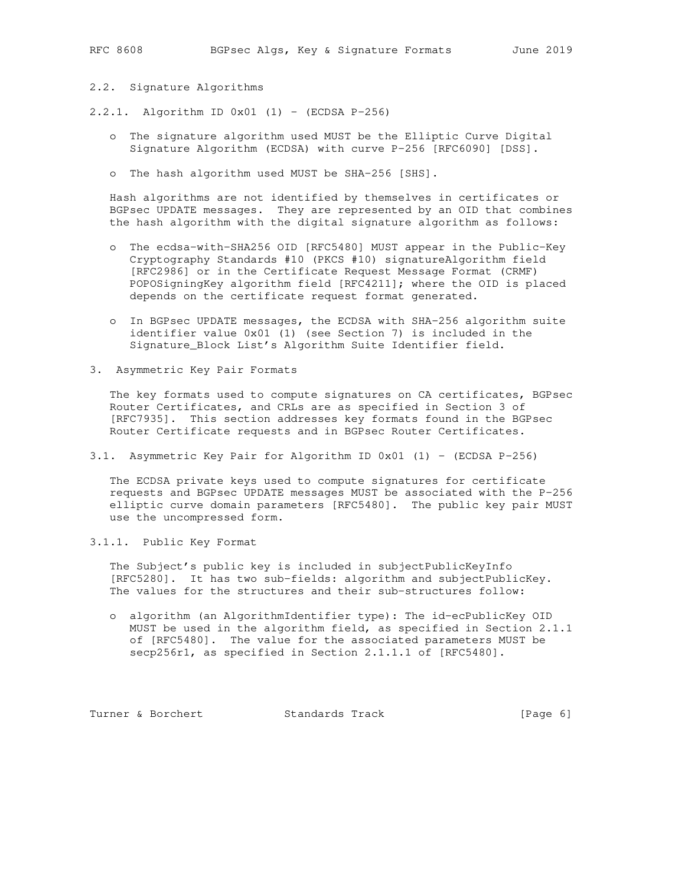# 2.2. Signature Algorithms

- 2.2.1. Algorithm ID 0x01 (1) (ECDSA P-256)
	- o The signature algorithm used MUST be the Elliptic Curve Digital Signature Algorithm (ECDSA) with curve P-256 [RFC6090] [DSS].
	- o The hash algorithm used MUST be SHA-256 [SHS].

 Hash algorithms are not identified by themselves in certificates or BGPsec UPDATE messages. They are represented by an OID that combines the hash algorithm with the digital signature algorithm as follows:

- o The ecdsa-with-SHA256 OID [RFC5480] MUST appear in the Public-Key Cryptography Standards #10 (PKCS #10) signatureAlgorithm field [RFC2986] or in the Certificate Request Message Format (CRMF) POPOSigningKey algorithm field [RFC4211]; where the OID is placed depends on the certificate request format generated.
- o In BGPsec UPDATE messages, the ECDSA with SHA-256 algorithm suite identifier value 0x01 (1) (see Section 7) is included in the Signature\_Block List's Algorithm Suite Identifier field.
- 3. Asymmetric Key Pair Formats

 The key formats used to compute signatures on CA certificates, BGPsec Router Certificates, and CRLs are as specified in Section 3 of [RFC7935]. This section addresses key formats found in the BGPsec Router Certificate requests and in BGPsec Router Certificates.

3.1. Asymmetric Key Pair for Algorithm ID 0x01 (1) - (ECDSA P-256)

 The ECDSA private keys used to compute signatures for certificate requests and BGPsec UPDATE messages MUST be associated with the P-256 elliptic curve domain parameters [RFC5480]. The public key pair MUST use the uncompressed form.

3.1.1. Public Key Format

 The Subject's public key is included in subjectPublicKeyInfo [RFC5280]. It has two sub-fields: algorithm and subjectPublicKey. The values for the structures and their sub-structures follow:

 o algorithm (an AlgorithmIdentifier type): The id-ecPublicKey OID MUST be used in the algorithm field, as specified in Section 2.1.1 of [RFC5480]. The value for the associated parameters MUST be secp256r1, as specified in Section 2.1.1.1 of [RFC5480].

Turner & Borchert Standards Track [Page 6]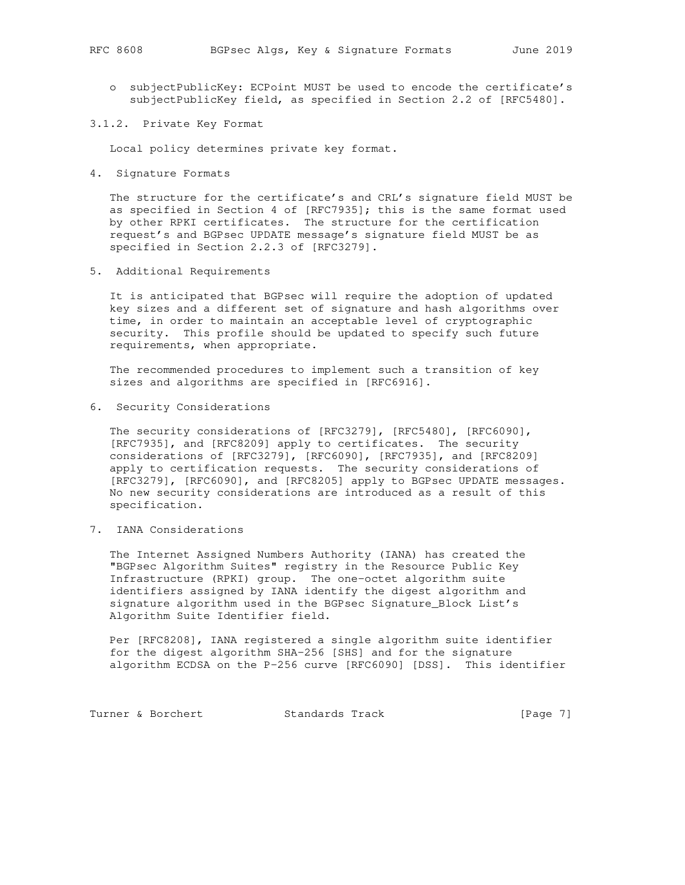- o subjectPublicKey: ECPoint MUST be used to encode the certificate's subjectPublicKey field, as specified in Section 2.2 of [RFC5480].
- 3.1.2. Private Key Format

Local policy determines private key format.

4. Signature Formats

 The structure for the certificate's and CRL's signature field MUST be as specified in Section 4 of [RFC7935]; this is the same format used by other RPKI certificates. The structure for the certification request's and BGPsec UPDATE message's signature field MUST be as specified in Section 2.2.3 of [RFC3279].

5. Additional Requirements

 It is anticipated that BGPsec will require the adoption of updated key sizes and a different set of signature and hash algorithms over time, in order to maintain an acceptable level of cryptographic security. This profile should be updated to specify such future requirements, when appropriate.

 The recommended procedures to implement such a transition of key sizes and algorithms are specified in [RFC6916].

6. Security Considerations

 The security considerations of [RFC3279], [RFC5480], [RFC6090], [RFC7935], and [RFC8209] apply to certificates. The security considerations of [RFC3279], [RFC6090], [RFC7935], and [RFC8209] apply to certification requests. The security considerations of [RFC3279], [RFC6090], and [RFC8205] apply to BGPsec UPDATE messages. No new security considerations are introduced as a result of this specification.

7. IANA Considerations

 The Internet Assigned Numbers Authority (IANA) has created the "BGPsec Algorithm Suites" registry in the Resource Public Key Infrastructure (RPKI) group. The one-octet algorithm suite identifiers assigned by IANA identify the digest algorithm and signature algorithm used in the BGPsec Signature\_Block List's Algorithm Suite Identifier field.

 Per [RFC8208], IANA registered a single algorithm suite identifier for the digest algorithm SHA-256 [SHS] and for the signature algorithm ECDSA on the P-256 curve [RFC6090] [DSS]. This identifier

Turner & Borchert Standards Track [Page 7]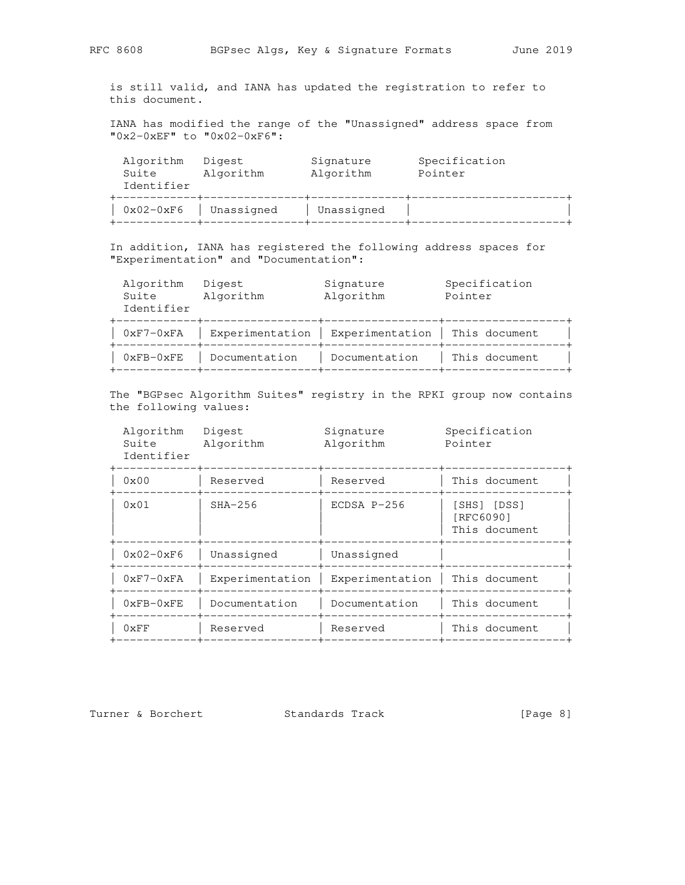is still valid, and IANA has updated the registration to refer to this document.

 IANA has modified the range of the "Unassigned" address space from "0x2-0xEF" to "0x02-0xF6":

| Algorithm<br>Suite<br>Identifier | Digest<br>Algorithm | Signature<br>Algorithm | Specification<br>Pointer |
|----------------------------------|---------------------|------------------------|--------------------------|
| $0x02-0xF6$                      | Unassigned          | Unassigned             |                          |

 In addition, IANA has registered the following address spaces for "Experimentation" and "Documentation":

|            | Algorithm Digest | Signature | Specification |
|------------|------------------|-----------|---------------|
| Suite      | Algorithm        | Algorithm | Pointer       |
| Identifier |                  |           |               |

| $0xF7-0xFA$      |               | Experimentation   Experimentation   This document |               |
|------------------|---------------|---------------------------------------------------|---------------|
| $0$ xFB- $0$ xFE | Documentation | Documentation                                     | This document |

 The "BGPsec Algorithm Suites" registry in the RPKI group now contains the following values:

| Algorithm  | Digest    | Signature | Specification |
|------------|-----------|-----------|---------------|
| Suite      | Algorithm | Algorithm | Pointer       |
| Identifier |           |           |               |

| $0 \times 00$ | Reserved        | Reserved        | This document                             |
|---------------|-----------------|-----------------|-------------------------------------------|
| $0 \times 01$ | $SHA-256$       | $ECDSA P-256$   | [SHS] [DSS]<br>[RFC6090]<br>This document |
| $0x02-0xF6$   | Unassigned      | Unassigned      |                                           |
| $0xF7-0xFA$   | Experimentation | Experimentation | This document                             |
| $0xFB-0xFE$   | Documentation   | Documentation   | This document                             |
| $0 \times FF$ | Reserved        | Reserved        | This document                             |
|               |                 |                 |                                           |

Turner & Borchert Standards Track [Page 8]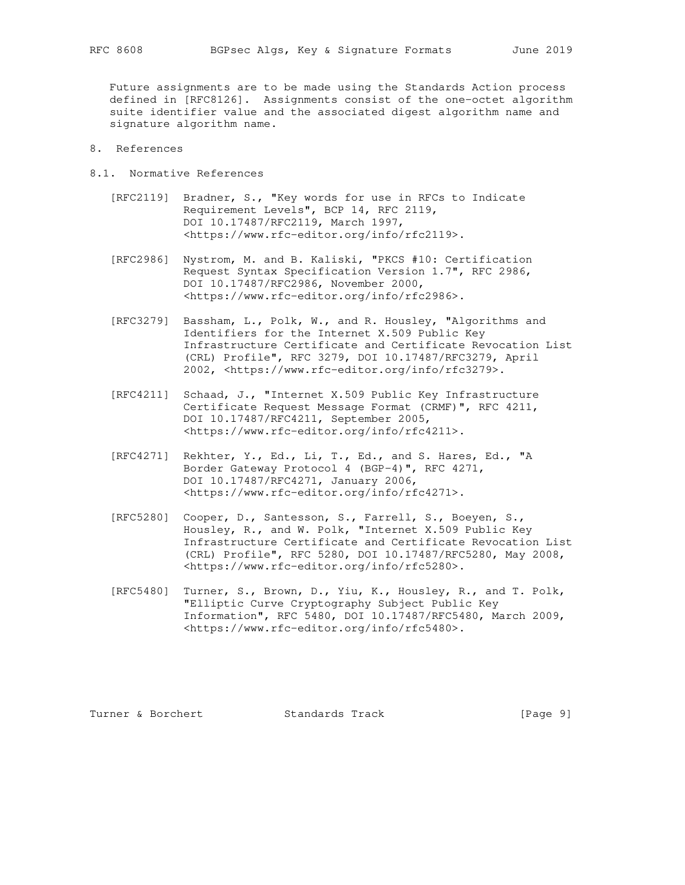Future assignments are to be made using the Standards Action process defined in [RFC8126]. Assignments consist of the one-octet algorithm suite identifier value and the associated digest algorithm name and signature algorithm name.

- 8. References
- 8.1. Normative References
	- [RFC2119] Bradner, S., "Key words for use in RFCs to Indicate Requirement Levels", BCP 14, RFC 2119, DOI 10.17487/RFC2119, March 1997, <https://www.rfc-editor.org/info/rfc2119>.
	- [RFC2986] Nystrom, M. and B. Kaliski, "PKCS #10: Certification Request Syntax Specification Version 1.7", RFC 2986, DOI 10.17487/RFC2986, November 2000, <https://www.rfc-editor.org/info/rfc2986>.
	- [RFC3279] Bassham, L., Polk, W., and R. Housley, "Algorithms and Identifiers for the Internet X.509 Public Key Infrastructure Certificate and Certificate Revocation List (CRL) Profile", RFC 3279, DOI 10.17487/RFC3279, April 2002, <https://www.rfc-editor.org/info/rfc3279>.
	- [RFC4211] Schaad, J., "Internet X.509 Public Key Infrastructure Certificate Request Message Format (CRMF)", RFC 4211, DOI 10.17487/RFC4211, September 2005, <https://www.rfc-editor.org/info/rfc4211>.
	- [RFC4271] Rekhter, Y., Ed., Li, T., Ed., and S. Hares, Ed., "A Border Gateway Protocol 4 (BGP-4)", RFC 4271, DOI 10.17487/RFC4271, January 2006, <https://www.rfc-editor.org/info/rfc4271>.
	- [RFC5280] Cooper, D., Santesson, S., Farrell, S., Boeyen, S., Housley, R., and W. Polk, "Internet X.509 Public Key Infrastructure Certificate and Certificate Revocation List (CRL) Profile", RFC 5280, DOI 10.17487/RFC5280, May 2008, <https://www.rfc-editor.org/info/rfc5280>.
	- [RFC5480] Turner, S., Brown, D., Yiu, K., Housley, R., and T. Polk, "Elliptic Curve Cryptography Subject Public Key Information", RFC 5480, DOI 10.17487/RFC5480, March 2009, <https://www.rfc-editor.org/info/rfc5480>.

Turner & Borchert **Standards Track** [Page 9]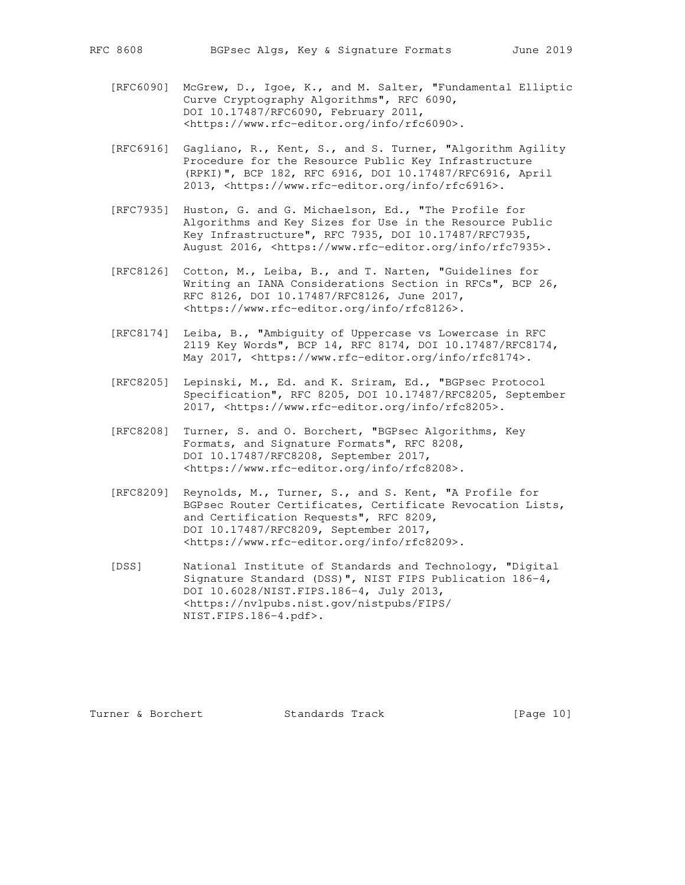- [RFC6090] McGrew, D., Igoe, K., and M. Salter, "Fundamental Elliptic Curve Cryptography Algorithms", RFC 6090, DOI 10.17487/RFC6090, February 2011, <https://www.rfc-editor.org/info/rfc6090>.
- [RFC6916] Gagliano, R., Kent, S., and S. Turner, "Algorithm Agility Procedure for the Resource Public Key Infrastructure (RPKI)", BCP 182, RFC 6916, DOI 10.17487/RFC6916, April 2013, <https://www.rfc-editor.org/info/rfc6916>.
- [RFC7935] Huston, G. and G. Michaelson, Ed., "The Profile for Algorithms and Key Sizes for Use in the Resource Public Key Infrastructure", RFC 7935, DOI 10.17487/RFC7935, August 2016, <https://www.rfc-editor.org/info/rfc7935>.
- [RFC8126] Cotton, M., Leiba, B., and T. Narten, "Guidelines for Writing an IANA Considerations Section in RFCs", BCP 26, RFC 8126, DOI 10.17487/RFC8126, June 2017, <https://www.rfc-editor.org/info/rfc8126>.
- [RFC8174] Leiba, B., "Ambiguity of Uppercase vs Lowercase in RFC 2119 Key Words", BCP 14, RFC 8174, DOI 10.17487/RFC8174, May 2017, <https://www.rfc-editor.org/info/rfc8174>.
- [RFC8205] Lepinski, M., Ed. and K. Sriram, Ed., "BGPsec Protocol Specification", RFC 8205, DOI 10.17487/RFC8205, September 2017, <https://www.rfc-editor.org/info/rfc8205>.
- [RFC8208] Turner, S. and O. Borchert, "BGPsec Algorithms, Key Formats, and Signature Formats", RFC 8208, DOI 10.17487/RFC8208, September 2017, <https://www.rfc-editor.org/info/rfc8208>.
- [RFC8209] Reynolds, M., Turner, S., and S. Kent, "A Profile for BGPsec Router Certificates, Certificate Revocation Lists, and Certification Requests", RFC 8209, DOI 10.17487/RFC8209, September 2017, <https://www.rfc-editor.org/info/rfc8209>.
- [DSS] National Institute of Standards and Technology, "Digital Signature Standard (DSS)", NIST FIPS Publication 186-4, DOI 10.6028/NIST.FIPS.186-4, July 2013, <https://nvlpubs.nist.gov/nistpubs/FIPS/ NIST.FIPS.186-4.pdf>.

Turner & Borchert **Standards Track** [Page 10]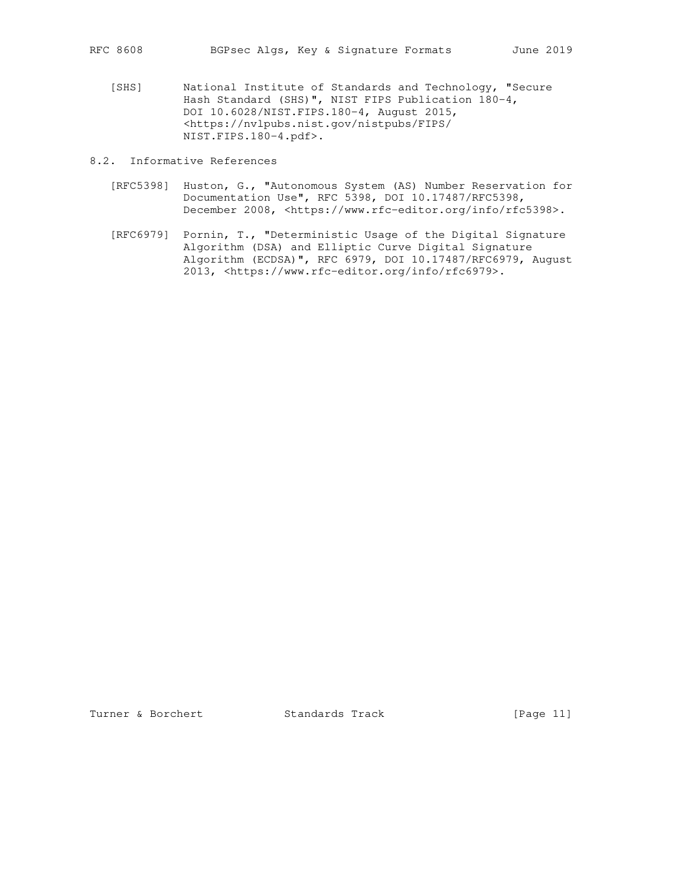[SHS] National Institute of Standards and Technology, "Secure Hash Standard (SHS)", NIST FIPS Publication 180-4, DOI 10.6028/NIST.FIPS.180-4, August 2015, <https://nvlpubs.nist.gov/nistpubs/FIPS/ NIST.FIPS.180-4.pdf>.

8.2. Informative References

- [RFC5398] Huston, G., "Autonomous System (AS) Number Reservation for Documentation Use", RFC 5398, DOI 10.17487/RFC5398, December 2008, <https://www.rfc-editor.org/info/rfc5398>.
- [RFC6979] Pornin, T., "Deterministic Usage of the Digital Signature Algorithm (DSA) and Elliptic Curve Digital Signature Algorithm (ECDSA)", RFC 6979, DOI 10.17487/RFC6979, August 2013, <https://www.rfc-editor.org/info/rfc6979>.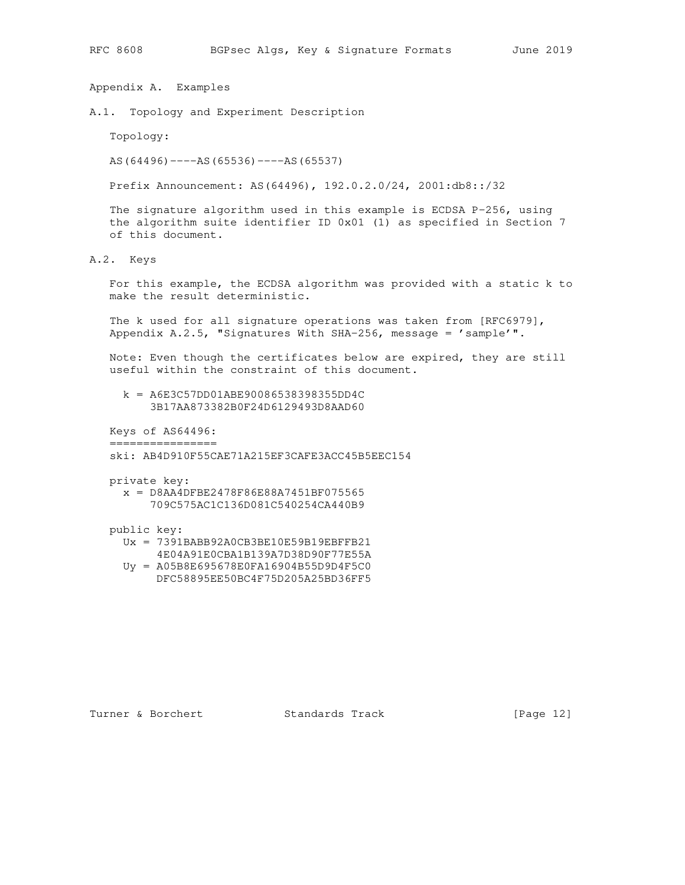Appendix A. Examples

A.1. Topology and Experiment Description

Topology:

AS(64496)----AS(65536)----AS(65537)

Prefix Announcement: AS(64496), 192.0.2.0/24, 2001:db8::/32

 The signature algorithm used in this example is ECDSA P-256, using the algorithm suite identifier ID 0x01 (1) as specified in Section 7 of this document.

A.2. Keys

 For this example, the ECDSA algorithm was provided with a static k to make the result deterministic.

 The k used for all signature operations was taken from [RFC6979], Appendix  $A.2.5$ , "Signatures With SHA-256, message = 'sample'".

 Note: Even though the certificates below are expired, they are still useful within the constraint of this document.

 k = A6E3C57DD01ABE90086538398355DD4C 3B17AA873382B0F24D6129493D8AAD60

 Keys of AS64496: ================

ski: AB4D910F55CAE71A215EF3CAFE3ACC45B5EEC154

private key:

 x = D8AA4DFBE2478F86E88A7451BF075565 709C575AC1C136D081C540254CA440B9

### public key:

- Ux = 7391BABB92A0CB3BE10E59B19EBFFB21 4E04A91E0CBA1B139A7D38D90F77E55A
- Uy = A05B8E695678E0FA16904B55D9D4F5C0
- DFC58895EE50BC4F75D205A25BD36FF5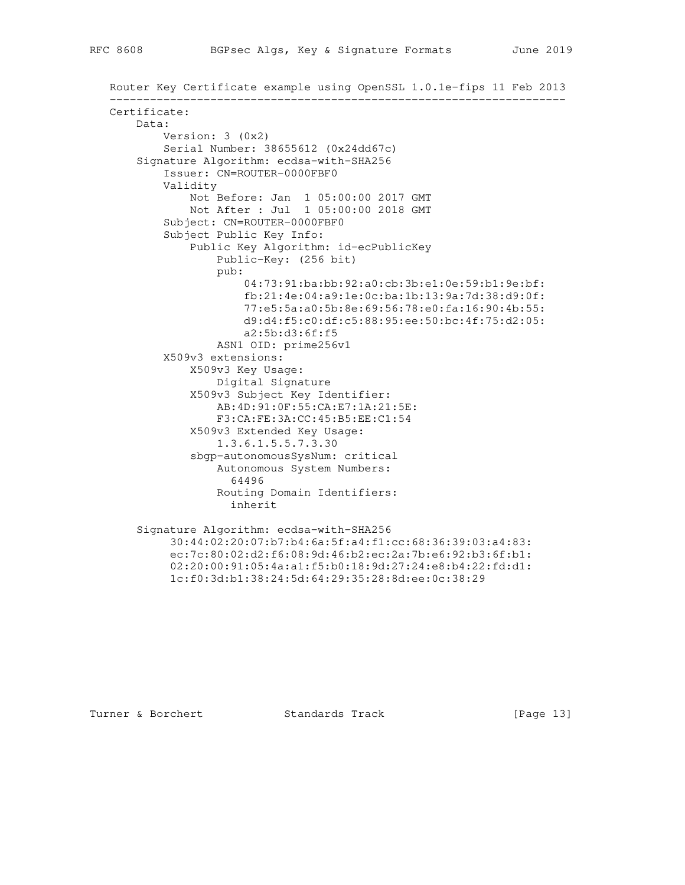```
 Router Key Certificate example using OpenSSL 1.0.1e-fips 11 Feb 2013
 --------------------------------------------------------------------
 Certificate:
    Data:
         Version: 3 (0x2)
         Serial Number: 38655612 (0x24dd67c)
     Signature Algorithm: ecdsa-with-SHA256
         Issuer: CN=ROUTER-0000FBF0
         Validity
             Not Before: Jan 1 05:00:00 2017 GMT
            Not After : Jul 1 05:00:00 2018 GMT
         Subject: CN=ROUTER-0000FBF0
         Subject Public Key Info:
             Public Key Algorithm: id-ecPublicKey
                 Public-Key: (256 bit)
                 pub:
                      04:73:91:ba:bb:92:a0:cb:3b:e1:0e:59:b1:9e:bf:
                     fb:21:4e:04:a9:1e:0c:ba:1b:13:9a:7d:38:d9:0f:
                     77:e5:5a:a0:5b:8e:69:56:78:e0:fa:16:90:4b:55:
                     d9:d4:f5:c0:df:c5:88:95:ee:50:bc:4f:75:d2:05:
                     a2:5b:d3:6f:f5
                 ASN1 OID: prime256v1
         X509v3 extensions:
             X509v3 Key Usage:
                 Digital Signature
             X509v3 Subject Key Identifier:
                 AB:4D:91:0F:55:CA:E7:1A:21:5E:
                 F3:CA:FE:3A:CC:45:B5:EE:C1:54
             X509v3 Extended Key Usage:
                 1.3.6.1.5.5.7.3.30
             sbgp-autonomousSysNum: critical
                 Autonomous System Numbers:
                   64496
                 Routing Domain Identifiers:
                   inherit
     Signature Algorithm: ecdsa-with-SHA256
          30:44:02:20:07:b7:b4:6a:5f:a4:f1:cc:68:36:39:03:a4:83:
          ec:7c:80:02:d2:f6:08:9d:46:b2:ec:2a:7b:e6:92:b3:6f:b1:
          02:20:00:91:05:4a:a1:f5:b0:18:9d:27:24:e8:b4:22:fd:d1:
```
Turner & Borchert **Standards Track** [Page 13]

1c:f0:3d:b1:38:24:5d:64:29:35:28:8d:ee:0c:38:29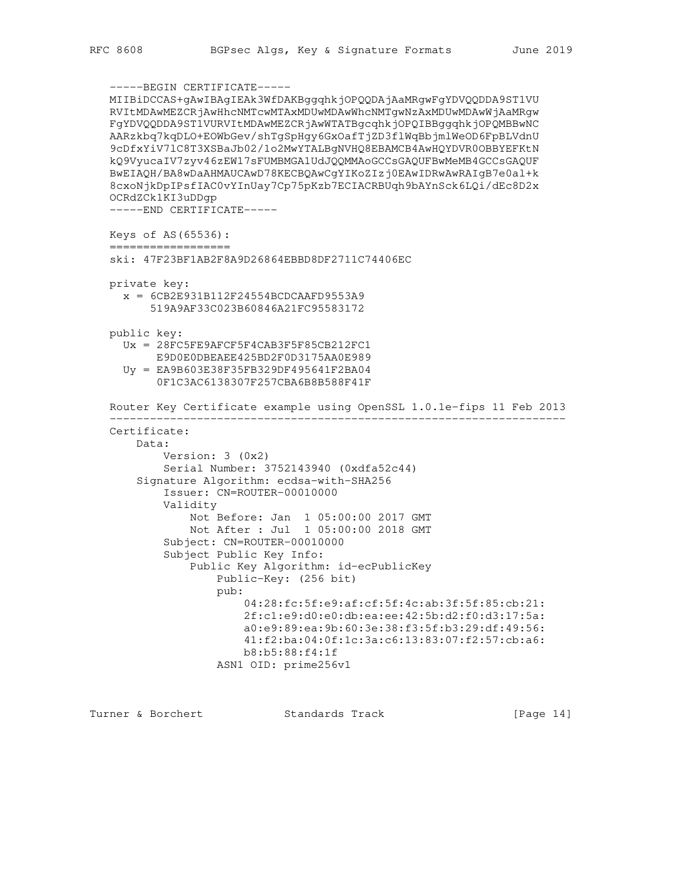```
 -----BEGIN CERTIFICATE-----
 MIIBiDCCAS+gAwIBAgIEAk3WfDAKBggqhkjOPQQDAjAaMRgwFgYDVQQDDA9ST1VU
 RVItMDAwMEZCRjAwHhcNMTcwMTAxMDUwMDAwWhcNMTgwNzAxMDUwMDAwWjAaMRgw
 FgYDVQQDDA9ST1VURVItMDAwMEZCRjAwWTATBgcqhkjOPQIBBggqhkjOPQMBBwNC
 AARzkbq7kqDLO+EOWbGev/shTgSpHgy6GxOafTjZD3flWqBbjmlWeOD6FpBLVdnU
 9cDfxYiV7lC8T3XSBaJb02/1o2MwYTALBgNVHQ8EBAMCB4AwHQYDVR0OBBYEFKtN
 kQ9VyucaIV7zyv46zEW17sFUMBMGA1UdJQQMMAoGCCsGAQUFBwMeMB4GCCsGAQUF
 BwEIAQH/BA8wDaAHMAUCAwD78KECBQAwCgYIKoZIzj0EAwIDRwAwRAIgB7e0al+k
 8cxoNjkDpIPsfIAC0vYInUay7Cp75pKzb7ECIACRBUqh9bAYnSck6LQi/dEc8D2x
 OCRdZCk1KI3uDDgp
 -----END CERTIFICATE-----
 Keys of AS(65536):
 ==================
 ski: 47F23BF1AB2F8A9D26864EBBD8DF2711C74406EC
 private key:
  x = 6CB2E931B112F24554BCDCAAFD9553A9
       519A9AF33C023B60846A21FC95583172
 public key:
   Ux = 28FC5FE9AFCF5F4CAB3F5F85CB212FC1
       E9D0E0DBEAEE425BD2F0D3175AA0E989
   Uy = EA9B603E38F35FB329DF495641F2BA04
        0F1C3AC6138307F257CBA6B8B588F41F
 Router Key Certificate example using OpenSSL 1.0.1e-fips 11 Feb 2013
  --------------------------------------------------------------------
 Certificate:
     Data:
         Version: 3 (0x2)
         Serial Number: 3752143940 (0xdfa52c44)
     Signature Algorithm: ecdsa-with-SHA256
         Issuer: CN=ROUTER-00010000
         Validity
             Not Before: Jan 1 05:00:00 2017 GMT
             Not After : Jul 1 05:00:00 2018 GMT
         Subject: CN=ROUTER-00010000
         Subject Public Key Info:
             Public Key Algorithm: id-ecPublicKey
                 Public-Key: (256 bit)
                 pub:
                      04:28:fc:5f:e9:af:cf:5f:4c:ab:3f:5f:85:cb:21:
                     2f:c1:e9:d0:e0:db:ea:ee:42:5b:d2:f0:d3:17:5a:
                     a0:e9:89:ea:9b:60:3e:38:f3:5f:b3:29:df:49:56:
                     41:f2:ba:04:0f:1c:3a:c6:13:83:07:f2:57:cb:a6:
                     b8:b5:88:f4:1f
                 ASN1 OID: prime256v1
```
Turner & Borchert **Standards Track** [Page 14]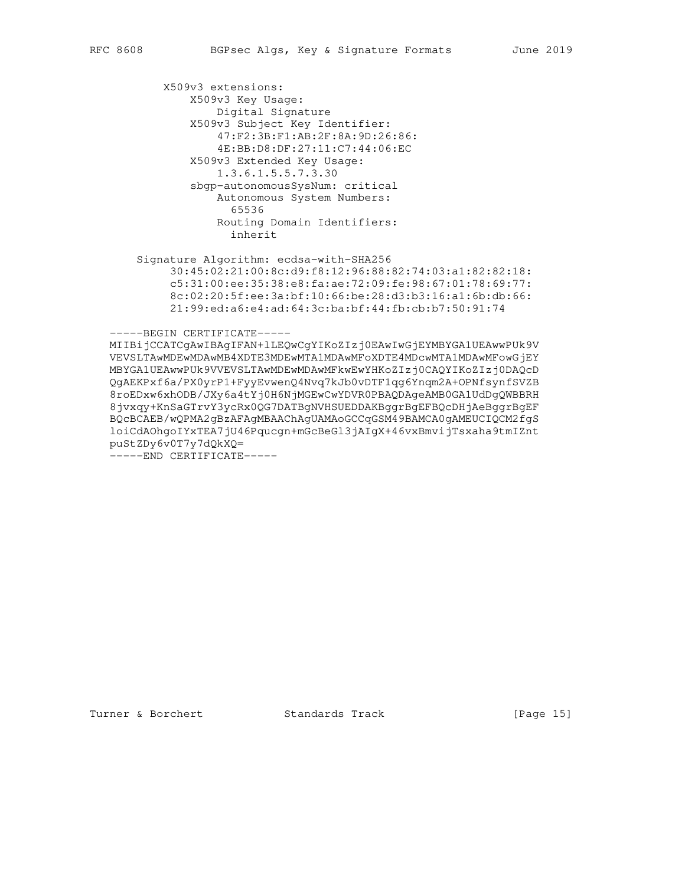X509v3 extensions: X509v3 Key Usage: Digital Signature X509v3 Subject Key Identifier: 47:F2:3B:F1:AB:2F:8A:9D:26:86: 4E:BB:D8:DF:27:11:C7:44:06:EC X509v3 Extended Key Usage: 1.3.6.1.5.5.7.3.30 sbgp-autonomousSysNum: critical Autonomous System Numbers: 65536 Routing Domain Identifiers: inherit

 Signature Algorithm: ecdsa-with-SHA256 30:45:02:21:00:8c:d9:f8:12:96:88:82:74:03:a1:82:82:18: c5:31:00:ee:35:38:e8:fa:ae:72:09:fe:98:67:01:78:69:77: 8c:02:20:5f:ee:3a:bf:10:66:be:28:d3:b3:16:a1:6b:db:66: 21:99:ed:a6:e4:ad:64:3c:ba:bf:44:fb:cb:b7:50:91:74

-----BEGIN CERTIFICATE-----

 MIIBijCCATCgAwIBAgIFAN+lLEQwCgYIKoZIzj0EAwIwGjEYMBYGA1UEAwwPUk9V VEVSLTAwMDEwMDAwMB4XDTE3MDEwMTA1MDAwMFoXDTE4MDcwMTA1MDAwMFowGjEY MBYGA1UEAwwPUk9VVEVSLTAwMDEwMDAwMFkwEwYHKoZIzj0CAQYIKoZIzj0DAQcD QgAEKPxf6a/PX0yrP1+FyyEvwenQ4Nvq7kJb0vDTF1qg6Ynqm2A+OPNfsynfSVZB 8roEDxw6xhODB/JXy6a4tYj0H6NjMGEwCwYDVR0PBAQDAgeAMB0GA1UdDgQWBBRH 8jvxqy+KnSaGTrvY3ycRx0QG7DATBgNVHSUEDDAKBggrBgEFBQcDHjAeBggrBgEF BQcBCAEB/wQPMA2gBzAFAgMBAAChAgUAMAoGCCqGSM49BAMCA0gAMEUCIQCM2fgS loiCdAOhgoIYxTEA7jU46Pqucgn+mGcBeGl3jAIgX+46vxBmvijTsxaha9tmIZnt puStZDy6v0T7y7dQkXQ=

-----END CERTIFICATE-----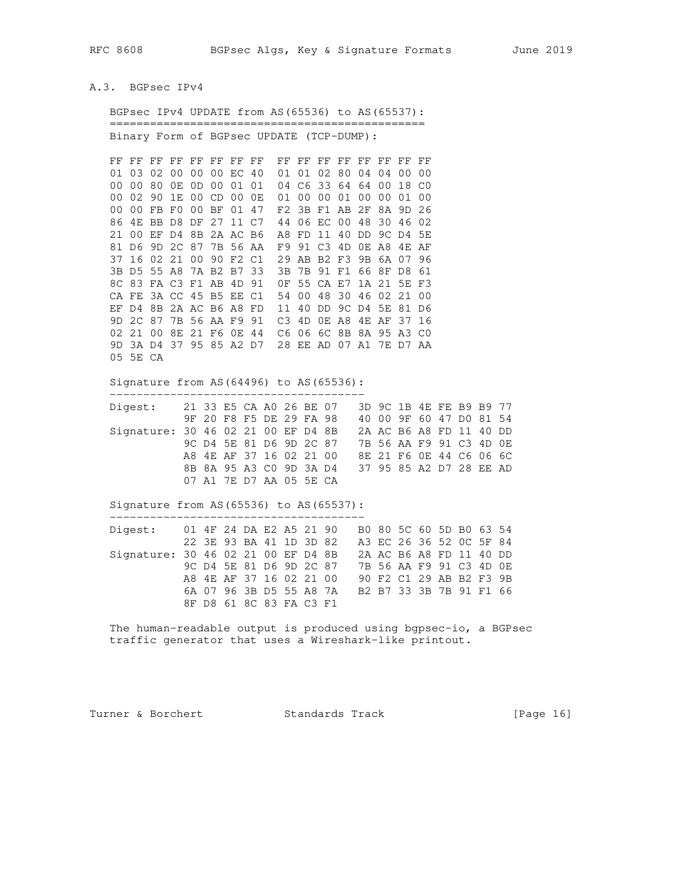## A.3. BGPsec IPv4

| BGPsec IPv4 UPDATE from AS (65536) to AS (65537):     |    |                |    |  |                |                         |          |                      |       |                      |       |    |                   |                         |       |
|-------------------------------------------------------|----|----------------|----|--|----------------|-------------------------|----------|----------------------|-------|----------------------|-------|----|-------------------|-------------------------|-------|
| Binary Form of BGPsec UPDATE (TCP-DUMP):              |    |                |    |  |                |                         |          |                      |       |                      |       |    |                   |                         |       |
| FF FF FF FF FF FF FF FF                               |    |                |    |  |                | FF FF FF FF FF FF FF FF |          |                      |       |                      |       |    |                   |                         |       |
| 01 03 02                                              |    | 0 <sub>0</sub> |    |  | 00 00 EC 40    | 01 01 02 80 04 04 00    |          |                      |       |                      | 00    |    |                   |                         |       |
| 00 00 80                                              |    | 0E             |    |  | OD 00 01 01    | 04 C6 33 64 64 00       |          |                      |       |                      | 18 CO |    |                   |                         |       |
| 00 02                                                 | 90 | 1E             |    |  | 00 CD 00 0E    | 01 00 00 01 00 00 01    |          |                      |       |                      | - 00  |    |                   |                         |       |
| 00 FB F0 00 BF 01 47<br>00<br>86 4E BB D8 DF 27 11 C7 |    |                |    |  |                | F2<br>44 06 EC 00       |          | 3B F1 AB 2F          |       | 8A 9D<br>48 30 46 02 | -26   |    |                   |                         |       |
| 21 00 EF D4 8B 2A AC B6                               |    |                |    |  |                | A8 FD 11 40 DD          |          |                      |       | 9C D4                | 5E    |    |                   |                         |       |
| 81 D6                                                 | 9D | 2C 87          |    |  | 7B 56 AA       | F9 91 C3 4D             |          |                      | OE A8 | 4E AF                |       |    |                   |                         |       |
| 37 16 02 21                                           |    |                | 00 |  | 90 F2 C1       | 29 AB B2 F3             |          |                      |       | 9B 6A 07 96          |       |    |                   |                         |       |
| 3B D5 55 A8                                           |    |                |    |  | 7A B2 B7 33    | 3B                      |          | 7B 91 F1 66 8F D8 61 |       |                      |       |    |                   |                         |       |
| 8C 83 FA C3 F1 AB 4D 91                               |    |                |    |  |                | OF 55 CA E7             |          |                      |       | 1A 21 5E F3          |       |    |                   |                         |       |
| CA FE 3A CC 45 B5 EE C1                               |    |                |    |  |                | 54 00 48                |          | 30 46 02 21          |       |                      | - 00  |    |                   |                         |       |
| EF D4 8B 2A AC B6 A8 FD                               |    |                |    |  |                | 11 40 DD 9C D4 5E 81 D6 |          |                      |       |                      |       |    |                   |                         |       |
| 9D 2C 87                                              |    | 7B 56 AA F9 91 |    |  |                | C3 4D OE A8 4E AF 37 16 |          |                      |       |                      |       |    |                   |                         |       |
| 02 21 00 8E 21 F6 0E 44                               |    |                |    |  |                | C6 06 6C 8B 8A 95 A3 C0 |          |                      |       |                      |       |    |                   |                         |       |
| 9D 3A D4 37 95 85 A2 D7 28 EE AD 07 A1 7E D7 AA       |    |                |    |  |                |                         |          |                      |       |                      |       |    |                   |                         |       |
| 05 5E CA                                              |    |                |    |  |                |                         |          |                      |       |                      |       |    |                   |                         |       |
| Signature from AS (64496) to AS (65536):              |    |                |    |  |                |                         |          |                      |       |                      |       |    |                   |                         |       |
| Digest:                                               |    |                |    |  |                | 21 33 E5 CA A0 26 BE 07 |          |                      |       |                      |       |    |                   | 3D 9C 1B 4E FE B9 B9 77 |       |
|                                                       |    |                |    |  |                | 9F 20 F8 F5 DE 29 FA 98 |          |                      |       |                      |       |    |                   | 40 00 9F 60 47 D0 81 54 |       |
| Signature: 30 46 02 21 00 EF D4 8B                    |    |                |    |  |                |                         |          |                      |       | 2A AC B6 A8          |       | FD | 11                |                         | 40 DD |
|                                                       |    |                |    |  |                | 9C D4 5E 81 D6 9D 2C 87 |          |                      |       |                      |       |    | 7B 56 AA F9 91 C3 | 4D OE                   |       |
|                                                       |    |                |    |  |                | A8 4E AF 37 16 02 21 00 |          |                      |       |                      |       |    |                   | 8E 21 F6 OE 44 C6 06 6C |       |
|                                                       |    |                |    |  |                | 8B 8A 95 A3 C0 9D 3A D4 |          |                      |       |                      |       |    |                   | 37 95 85 A2 D7 28 EE AD |       |
|                                                       |    |                |    |  |                | 07 A1 7E D7 AA 05 5E CA |          |                      |       |                      |       |    |                   |                         |       |
| Signature from AS (65536) to AS (65537):              |    |                |    |  |                |                         |          |                      |       |                      |       |    |                   |                         |       |
| Digest:                                               |    |                |    |  |                | 01 4F 24 DA E2 A5 21 90 |          |                      |       |                      |       |    |                   | B0 80 5C 60 5D B0 63 54 |       |
|                                                       |    |                |    |  | 22 3E 93 BA 41 |                         | 1D 3D 82 |                      |       |                      |       |    |                   | A3 EC 26 36 52 OC 5F 84 |       |
| Signature: 30 46 02 21 00 EF D4 8B                    |    |                |    |  |                |                         |          |                      |       | 2A AC B6 A8          |       | FD | 11                | 40 DD                   |       |
|                                                       |    |                |    |  |                | 9C D4 5E 81 D6 9D 2C 87 |          |                      |       |                      |       |    |                   | 7B 56 AA F9 91 C3 4D OE |       |
|                                                       |    |                | A8 |  |                | 4E AF 37 16 02 21 00    |          |                      |       |                      |       |    |                   | 90 F2 C1 29 AB B2 F3 9B |       |
|                                                       |    |                |    |  |                | 6A 07 96 3B D5 55 A8 7A |          |                      |       |                      |       |    |                   | B2 B7 33 3B 7B 91 F1 66 |       |
|                                                       |    |                |    |  |                | 8F D8 61 8C 83 FA C3 F1 |          |                      |       |                      |       |    |                   |                         |       |
|                                                       |    |                |    |  |                |                         |          |                      |       |                      |       |    |                   |                         |       |

 The human-readable output is produced using bgpsec-io, a BGPsec traffic generator that uses a Wireshark-like printout.

Turner & Borchert Standards Track [Page 16]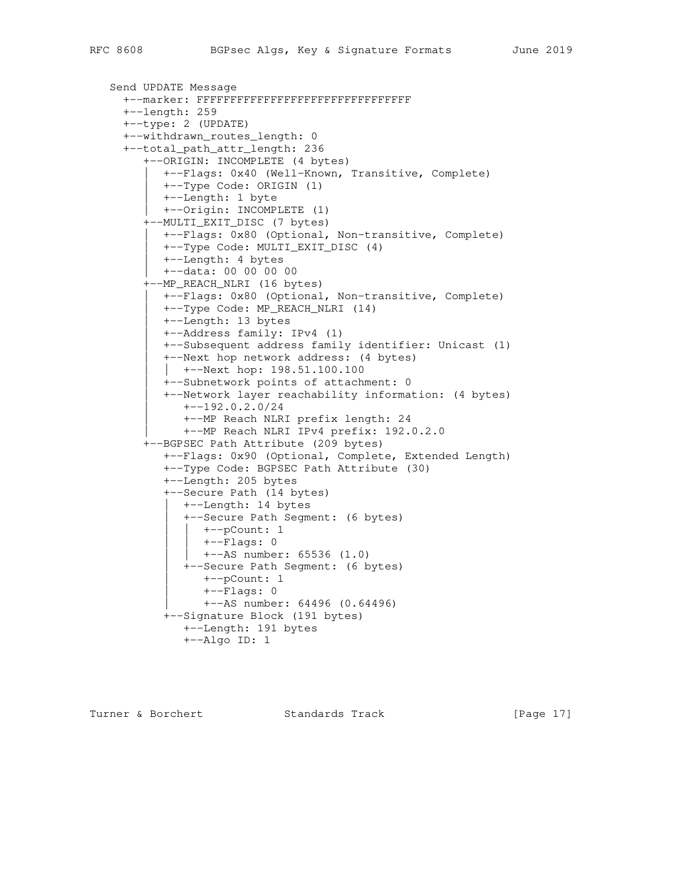```
 Send UPDATE Message
   +--marker: FFFFFFFFFFFFFFFFFFFFFFFFFFFFFFFF
   +--length: 259
   +--type: 2 (UPDATE)
   +--withdrawn_routes_length: 0
   +--total_path_attr_length: 236
      +--ORIGIN: INCOMPLETE (4 bytes)
         | +--Flags: 0x40 (Well-Known, Transitive, Complete)
         | +--Type Code: ORIGIN (1)
         | +--Length: 1 byte
         | +--Origin: INCOMPLETE (1)
      +--MULTI_EXIT_DISC (7 bytes)
         | +--Flags: 0x80 (Optional, Non-transitive, Complete)
         | +--Type Code: MULTI_EXIT_DISC (4)
         | +--Length: 4 bytes
         | +--data: 00 00 00 00
      +--MP_REACH_NLRI (16 bytes)
         | +--Flags: 0x80 (Optional, Non-transitive, Complete)
         | +--Type Code: MP_REACH_NLRI (14)
         | +--Length: 13 bytes
         | +--Address family: IPv4 (1)
         | +--Subsequent address family identifier: Unicast (1)
         | +--Next hop network address: (4 bytes)
         | | +--Next hop: 198.51.100.100
         | +--Subnetwork points of attachment: 0
         | +--Network layer reachability information: (4 bytes)
            | +--192.0.2.0/24
            | +--MP Reach NLRI prefix length: 24
            | +--MP Reach NLRI IPv4 prefix: 192.0.2.0
      +--BGPSEC Path Attribute (209 bytes)
         +--Flags: 0x90 (Optional, Complete, Extended Length)
         +--Type Code: BGPSEC Path Attribute (30)
         +--Length: 205 bytes
         +--Secure Path (14 bytes)
          +--Length: 14 bytes
            | +--Secure Path Segment: (6 bytes)
              | | +--pCount: 1
               | | +--Flags: 0
               | | +--AS number: 65536 (1.0)
            | +--Secure Path Segment: (6 bytes)
               | +--pCount: 1
              +--Flags: 0
               | +--AS number: 64496 (0.64496)
         +--Signature Block (191 bytes)
            +--Length: 191 bytes
            +--Algo ID: 1
```
Turner & Borchert **Standards Track** [Page 17]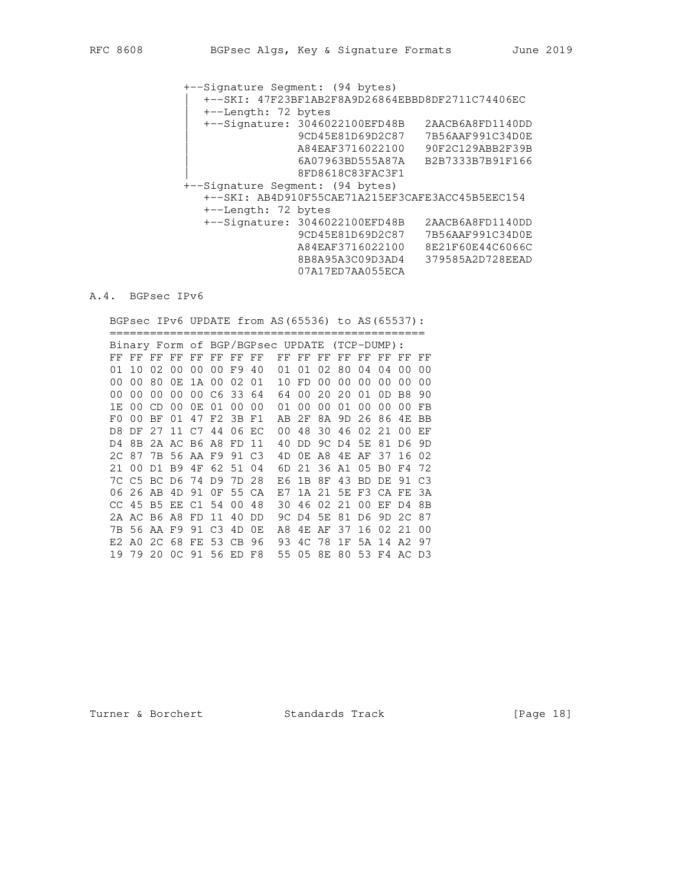+--Signature Segment: (94 bytes) | +--SKI: 47F23BF1AB2F8A9D26864EBBD8DF2711C74406EC | +--Length: 72 bytes | +--Signature: 3046022100EFD48B 2AACB6A8FD1140DD | 9CD45E81D69D2C87 7B56AAF991C34D0E | A84EAF3716022100 90F2C129ABB2F39B | 6A07963BD555A87A B2B7333B7B91F166 | 8FD8618C83FAC3F1 +--Signature Segment: (94 bytes) +--SKI: AB4D910F55CAE71A215EF3CAFE3ACC45B5EEC154 +--Length: 72 bytes +--Signature: 3046022100EFD48B 2AACB6A8FD1140DD 9CD45E81D69D2C87 7B56AAF991C34D0E A84EAF3716022100 8E21F60E44C6066C 8B8A95A3C09D3AD4 379585A2D728EEAD 07A17ED7AA055ECA

## A.4. BGPsec IPv6

BGPsec IPv6 UPDATE from AS(65536) to AS(65537):

 =============================================== Binary Form of BGP/BGPsec UPDATE (TCP-DUMP): FF FF FF FF FF FF FF FF FF FF FF FF FF FF FF FF 01 10 02 00 00 00 F9 40 01 01 02 80 04 04 00 00 00 00 80 0E 1A 00 02 01 10 FD 00 00 00 00 00 00 00 00 00 00 00 C6 33 64 64 00 20 20 01 0D B8 90 1E 00 CD 00 0E 01 00 00 01 00 00 01 00 00 00 FB F0 00 BF 01 47 F2 3B F1 AB 2F 8A 9D 26 86 4E BB D8 DF 27 11 C7 44 06 EC 00 48 30 46 02 21 00 EF D4 8B 2A AC B6 A8 FD 11 40 DD 9C D4 5E 81 D6 9D 2C 87 7B 56 AA F9 91 C3 4D 0E A8 4E AF 37 16 02 21 00 D1 B9 4F 62 51 04 6D 21 36 A1 05 B0 F4 72 7C C5 BC D6 74 D9 7D 28 E6 1B 8F 43 BD DE 91 C3 06 26 AB 4D 91 0F 55 CA E7 1A 21 5E F3 CA FE 3A CC 45 B5 EE C1 54 00 48 30 46 02 21 00 EF D4 8B 2A AC B6 A8 FD 11 40 DD 9C D4 5E 81 D6 9D 2C 87 7B 56 AA F9 91 C3 4D 0E A8 4E AF 37 16 02 21 00 E2 A0 2C 68 FE 53 CB 96 93 4C 78 1F 5A 14 A2 97 19 79 20 0C 91 56 ED F8 55 05 8E 80 53 F4 AC D3

Turner & Borchert Standards Track [Page 18]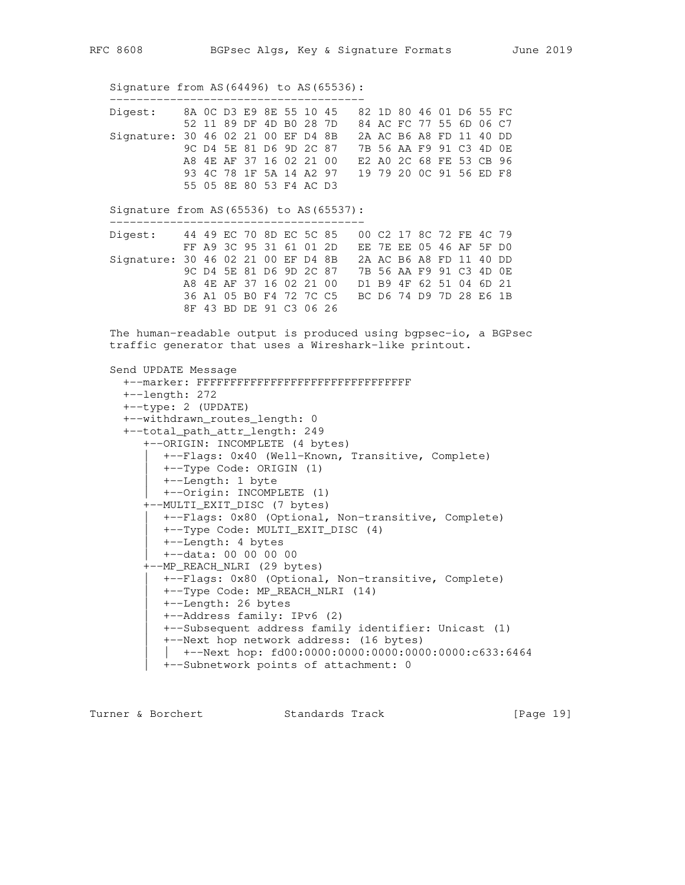Signature from AS(64496) to AS(65536):

| Digest:                            | 8A OC D3 E9 8E 55 10 45 |  |                         |  |                         | 82 1D 80 46 01 D6 55 FC |                         |  |  |  |
|------------------------------------|-------------------------|--|-------------------------|--|-------------------------|-------------------------|-------------------------|--|--|--|
|                                    |                         |  | 52 11 89 DF 4D BO 28 7D |  |                         |                         | 84 AC FC 77 55 6D 06 C7 |  |  |  |
| Signature: 30 46 02 21 00 EF D4 8B |                         |  |                         |  |                         |                         | 2A AC B6 A8 FD 11 40 DD |  |  |  |
|                                    |                         |  |                         |  | 9C D4 5E 81 D6 9D 2C 87 | 7B 56 AA F9 91 C3 4D OE |                         |  |  |  |
|                                    |                         |  | A8 4E AF 37 16 02 21 00 |  |                         |                         | E2 A0 2C 68 FE 53 CB 96 |  |  |  |
|                                    |                         |  |                         |  | 93 4C 78 1F 5A 14 A2 97 | 19 79 20 OC 91 56 ED F8 |                         |  |  |  |
|                                    |                         |  | 55 05 8E 80 53 F4 AC D3 |  |                         |                         |                         |  |  |  |

 Signature from AS(65536) to AS(65537): --------------------------------------

 Digest: 44 49 EC 70 8D EC 5C 85 00 C2 17 8C 72 FE 4C 79 FF A9 3C 95 31 61 01 2D EE 7E EE 05 46 AF 5F D0 Signature: 30 46 02 21 00 EF D4 8B 2A AC B6 A8 FD 11 40 DD 9C D4 5E 81 D6 9D 2C 87 7B 56 AA F9 91 C3 4D 0E A8 4E AF 37 16 02 21 00 D1 B9 4F 62 51 04 6D 21 36 A1 05 B0 F4 72 7C C5 BC D6 74 D9 7D 28 E6 1B 8F 43 BD DE 91 C3 06 26

 The human-readable output is produced using bgpsec-io, a BGPsec traffic generator that uses a Wireshark-like printout.

```
 Send UPDATE Message
   +--marker: FFFFFFFFFFFFFFFFFFFFFFFFFFFFFFFF
   +--length: 272
   +--type: 2 (UPDATE)
   +--withdrawn_routes_length: 0
   +--total_path_attr_length: 249
      +--ORIGIN: INCOMPLETE (4 bytes)
         | +--Flags: 0x40 (Well-Known, Transitive, Complete)
        | +--Type Code: ORIGIN (1)
        | +--Length: 1 byte
        | +--Origin: INCOMPLETE (1)
      +--MULTI_EXIT_DISC (7 bytes)
        | +--Flags: 0x80 (Optional, Non-transitive, Complete)
         | +--Type Code: MULTI_EXIT_DISC (4)
         | +--Length: 4 bytes
         | +--data: 00 00 00 00
      +--MP_REACH_NLRI (29 bytes)
         | +--Flags: 0x80 (Optional, Non-transitive, Complete)
         | +--Type Code: MP_REACH_NLRI (14)
         | +--Length: 26 bytes
         | +--Address family: IPv6 (2)
         | +--Subsequent address family identifier: Unicast (1)
         | +--Next hop network address: (16 bytes)
         | | +--Next hop: fd00:0000:0000:0000:0000:0000:c633:6464
         | +--Subnetwork points of attachment: 0
```
Turner & Borchert Standards Track [Page 19]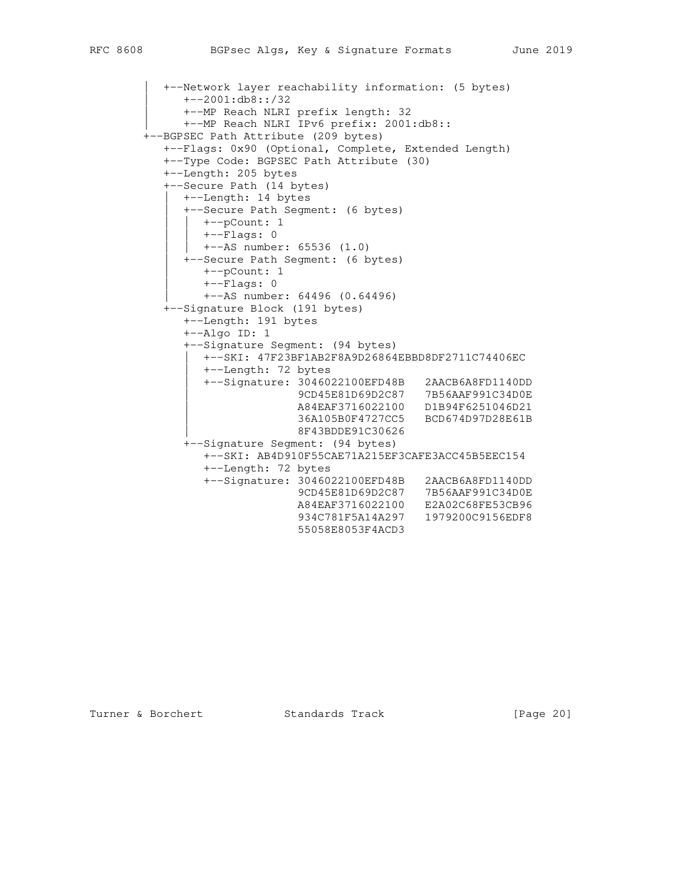```
 | +--Network layer reachability information: (5 bytes)
             | +--2001:db8::/32
             | +--MP Reach NLRI prefix length: 32
           | +--MP Reach NLRI IPv6 prefix: 2001:db8::
        +--BGPSEC Path Attribute (209 bytes)
          +--Flags: 0x90 (Optional, Complete, Extended Length)
          +--Type Code: BGPSEC Path Attribute (30)
          +--Length: 205 bytes
          +--Secure Path (14 bytes)
            | +--Length: 14 bytes
             | +--Secure Path Segment: (6 bytes)
               | | +--pCount: 1
               | | +--Flags: 0
               | | +--AS number: 65536 (1.0)
             | +--Secure Path Segment: (6 bytes)
               | +--pCount: 1
                | +--Flags: 0
                | +--AS number: 64496 (0.64496)
          +--Signature Block (191 bytes)
             +--Length: 191 bytes
             +--Algo ID: 1
             +--Signature Segment: (94 bytes)
               | +--SKI: 47F23BF1AB2F8A9D26864EBBD8DF2711C74406EC
                | +--Length: 72 bytes
 | +--Signature: 3046022100EFD48B 2AACB6A8FD1140DD
 | 9CD45E81D69D2C87 7B56AAF991C34D0E
| A84EAF3716022100 D1B94F6251046D21
 | 36A105B0F4727CC5 BCD674D97D28E61B
                            | 8F43BDDE91C30626
             +--Signature Segment: (94 bytes)
               +--SKI: AB4D910F55CAE71A215EF3CAFE3ACC45B5EEC154
                +--Length: 72 bytes
                +--Signature: 3046022100EFD48B 2AACB6A8FD1140DD
                             9CD45E81D69D2C87 7B56AAF991C34D0E
 A84EAF3716022100 E2A02C68FE53CB96
 934C781F5A14A297 1979200C9156EDF8
                             55058E8053F4ACD3
```